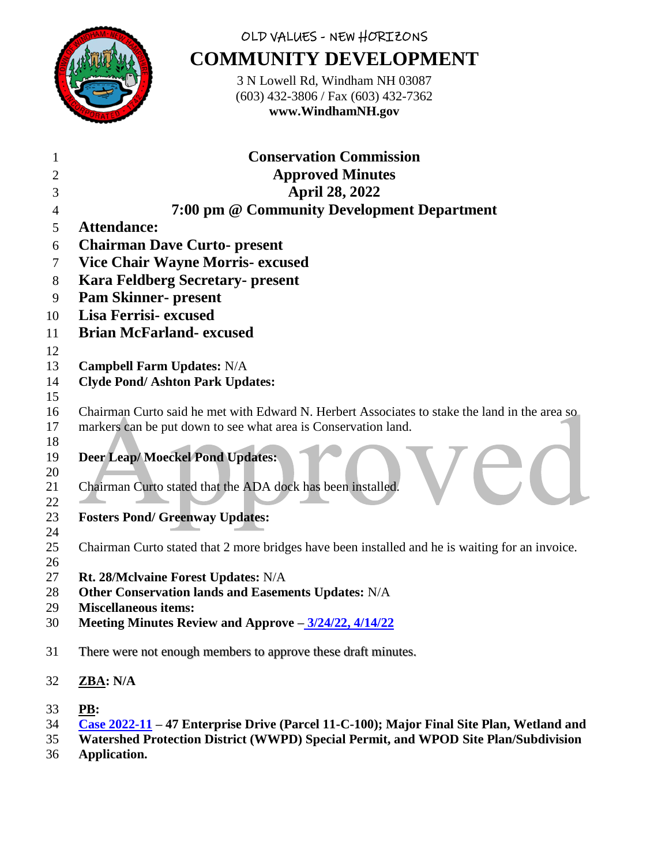

## OLD VALUES - NEW HORIZONS **COMMUNITY DEVELOPMENT**

3 N Lowell Rd, Windham NH 03087 (603) 432-3806 / Fax (603) 432-7362 **www.WindhamNH.gov**

| 1                    | <b>Conservation Commission</b>                                                                        |
|----------------------|-------------------------------------------------------------------------------------------------------|
| 2                    | <b>Approved Minutes</b>                                                                               |
| 3                    | <b>April 28, 2022</b>                                                                                 |
| 4                    | 7:00 pm @ Community Development Department                                                            |
| 5                    | <b>Attendance:</b>                                                                                    |
| 6                    | <b>Chairman Dave Curto- present</b>                                                                   |
| 7                    | <b>Vice Chair Wayne Morris- excused</b>                                                               |
| 8                    | <b>Kara Feldberg Secretary- present</b>                                                               |
| 9                    | <b>Pam Skinner- present</b>                                                                           |
| 10                   | Lisa Ferrisi-excused                                                                                  |
| 11                   | <b>Brian McFarland- excused</b>                                                                       |
| 12                   |                                                                                                       |
| 13                   | <b>Campbell Farm Updates: N/A</b>                                                                     |
| 14                   | <b>Clyde Pond/Ashton Park Updates:</b>                                                                |
| 15                   |                                                                                                       |
| 16                   | Chairman Curto said he met with Edward N. Herbert Associates to stake the land in the area so         |
| 17                   | markers can be put down to see what area is Conservation land.                                        |
| 18<br>19<br>20<br>21 | <b>Deer Leap/Moeckel Pond Updates:</b><br>Chairman Curto stated that the ADA dock has been installed. |
| 22                   |                                                                                                       |
| 23                   | <b>Fosters Pond/ Greenway Updates:</b>                                                                |
| 24                   |                                                                                                       |
| 25                   | Chairman Curto stated that 2 more bridges have been installed and he is waiting for an invoice.       |
| 26                   |                                                                                                       |
| 27<br>28             | Rt. 28/McIvaine Forest Updates: N/A<br>Other Conservation lands and Easements Updates: N/A            |
| 29                   | <b>Miscellaneous items:</b>                                                                           |
| 30                   | Meeting Minutes Review and Approve - 3/24/22, 4/14/22                                                 |
|                      |                                                                                                       |
| 31                   | There were not enough members to approve these draft minutes.                                         |
| 32                   | ZBA: N/A                                                                                              |
| 33                   | PB:                                                                                                   |
| 34                   | Case 2022-11 - 47 Enterprise Drive (Parcel 11-C-100); Major Final Site Plan, Wetland and              |

- **Watershed Protection District (WWPD) Special Permit, and WPOD Site Plan/Subdivision**
- **Application.**